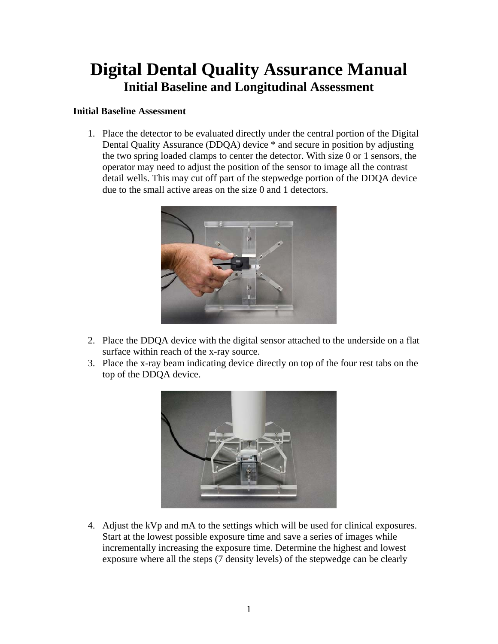## **Digital Dental Quality Assurance Manual Initial Baseline and Longitudinal Assessment**

#### **Initial Baseline Assessment**

1. Place the detector to be evaluated directly under the central portion of the Digital Dental Quality Assurance (DDQA) device \* and secure in position by adjusting the two spring loaded clamps to center the detector. With size 0 or 1 sensors, the operator may need to adjust the position of the sensor to image all the contrast detail wells. This may cut off part of the stepwedge portion of the DDQA device due to the small active areas on the size 0 and 1 detectors.



- 2. Place the DDQA device with the digital sensor attached to the underside on a flat surface within reach of the x-ray source.
- 3. Place the x-ray beam indicating device directly on top of the four rest tabs on the top of the DDQA device.



4. Adjust the kVp and mA to the settings which will be used for clinical exposures. Start at the lowest possible exposure time and save a series of images while incrementally increasing the exposure time. Determine the highest and lowest exposure where all the steps (7 density levels) of the stepwedge can be clearly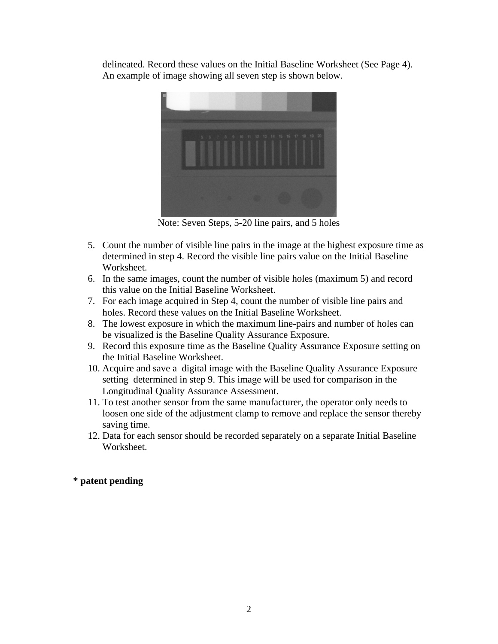delineated. Record these values on the Initial Baseline Worksheet (See Page 4). An example of image showing all seven step is shown below.



Note: Seven Steps, 5-20 line pairs, and 5 holes

- 5. Count the number of visible line pairs in the image at the highest exposure time as determined in step 4. Record the visible line pairs value on the Initial Baseline Worksheet.
- 6. In the same images, count the number of visible holes (maximum 5) and record this value on the Initial Baseline Worksheet.
- 7. For each image acquired in Step 4, count the number of visible line pairs and holes. Record these values on the Initial Baseline Worksheet.
- 8. The lowest exposure in which the maximum line-pairs and number of holes can be visualized is the Baseline Quality Assurance Exposure.
- 9. Record this exposure time as the Baseline Quality Assurance Exposure setting on the Initial Baseline Worksheet.
- 10. Acquire and save a digital image with the Baseline Quality Assurance Exposure setting determined in step 9. This image will be used for comparison in the Longitudinal Quality Assurance Assessment.
- 11. To test another sensor from the same manufacturer, the operator only needs to loosen one side of the adjustment clamp to remove and replace the sensor thereby saving time.
- 12. Data for each sensor should be recorded separately on a separate Initial Baseline Worksheet.

#### **\* patent pending**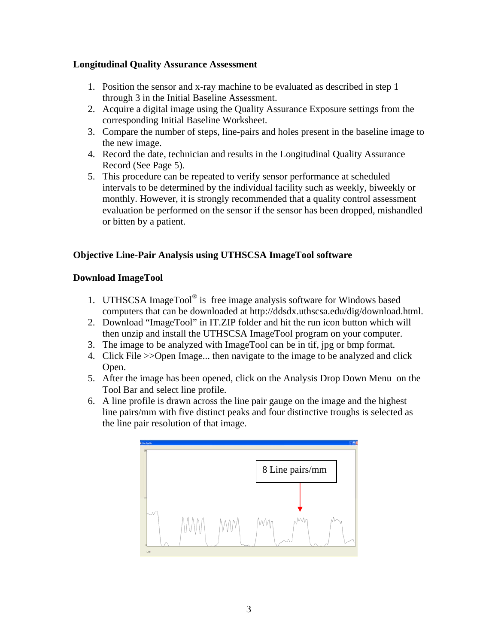#### **Longitudinal Quality Assurance Assessment**

- 1. Position the sensor and x-ray machine to be evaluated as described in step 1 through 3 in the Initial Baseline Assessment.
- 2. Acquire a digital image using the Quality Assurance Exposure settings from the corresponding Initial Baseline Worksheet.
- 3. Compare the number of steps, line-pairs and holes present in the baseline image to the new image.
- 4. Record the date, technician and results in the Longitudinal Quality Assurance Record (See Page 5).
- 5. This procedure can be repeated to verify sensor performance at scheduled intervals to be determined by the individual facility such as weekly, biweekly or monthly. However, it is strongly recommended that a quality control assessment evaluation be performed on the sensor if the sensor has been dropped, mishandled or bitten by a patient.

### **Objective Line-Pair Analysis using UTHSCSA ImageTool software**

#### **Download ImageTool**

- 1. UTHSCSA ImageTool® is free image analysis software for Windows based computers that can be downloaded at http://ddsdx[.uthscsa.edu](http://www.uthscsa.edu/)/dig/download.html.
- 2. Download "ImageTool" in IT.ZIP folder and hit the run icon button which will then unzip and install the UTHSCSA ImageTool program on your computer.
- 3. The image to be analyzed with ImageTool can be in tif, jpg or bmp format.
- 4. Click File >>Open Image... then navigate to the image to be analyzed and click Open.
- 5. After the image has been opened, click on the Analysis Drop Down Menu on the Tool Bar and select line profile.
- 6. A line profile is drawn across the line pair gauge on the image and the highest line pairs/mm with five distinct peaks and four distinctive troughs is selected as the line pair resolution of that image.

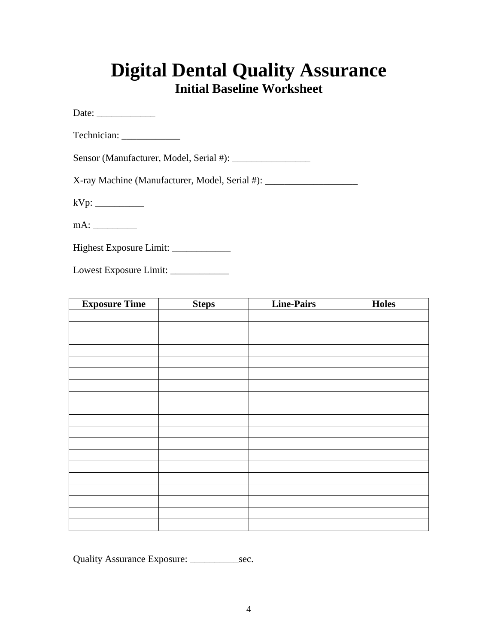## **Digital Dental Quality Assurance Initial Baseline Worksheet**

Date: \_\_\_\_\_\_\_\_\_\_\_\_

| Technician: |  |
|-------------|--|
|             |  |

| Sensor (Manufacturer, Model, Serial #): |  |  |
|-----------------------------------------|--|--|
|-----------------------------------------|--|--|

X-ray Machine (Manufacturer, Model, Serial #): \_\_\_\_\_\_\_\_\_\_\_\_\_\_\_\_\_\_\_\_\_\_\_\_\_\_\_\_\_\_\_\_\_

kVp: \_\_\_\_\_\_\_\_\_\_

mA: \_\_\_\_\_\_\_\_\_

| <b>Highest Exposure Limit:</b> |  |  |  |
|--------------------------------|--|--|--|
|--------------------------------|--|--|--|

Lowest Exposure Limit: \_\_\_\_\_\_\_\_\_\_\_\_

| <b>Exposure Time</b> | <b>Steps</b> | <b>Line-Pairs</b> | <b>Holes</b> |
|----------------------|--------------|-------------------|--------------|
|                      |              |                   |              |
|                      |              |                   |              |
|                      |              |                   |              |
|                      |              |                   |              |
|                      |              |                   |              |
|                      |              |                   |              |
|                      |              |                   |              |
|                      |              |                   |              |
|                      |              |                   |              |
|                      |              |                   |              |
|                      |              |                   |              |
|                      |              |                   |              |
|                      |              |                   |              |
|                      |              |                   |              |
|                      |              |                   |              |
|                      |              |                   |              |
|                      |              |                   |              |
|                      |              |                   |              |
|                      |              |                   |              |

Quality Assurance Exposure: \_\_\_\_\_\_\_\_\_\_\_\_\_\_sec.